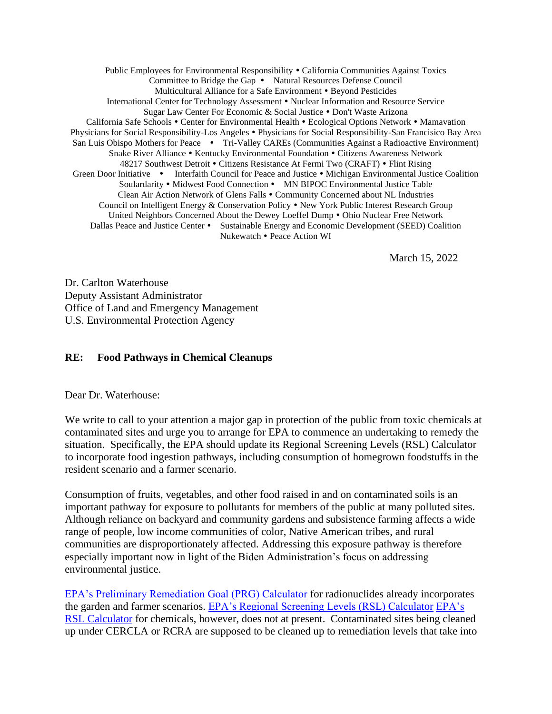Public Employees for Environmental Responsibility • California Communities Against Toxics Committee to Bridge the Gap • Natural Resources Defense Council Multicultural Alliance for a Safe Environment • Beyond Pesticides International Center for Technology Assessment Nuclear Information and Resource Service Sugar Law Center For Economic & Social Justice • Don't Waste Arizona California Safe Schools • Center for Environmental Health • Ecological Options Network • Mamavation Physicians for Social Responsibility-Los Angeles Physicians for Social Responsibility-San Francisico Bay Area San Luis Obispo Mothers for Peace • Tri-Valley CAREs (Communities Against a Radioactive Environment) Snake River Alliance • Kentucky Environmental Foundation • Citizens Awareness Network 48217 Southwest Detroit • Citizens Resistance At Fermi Two (CRAFT) • Flint Rising Green Door Initiative • Interfaith Council for Peace and Justice • Michigan Environmental Justice Coalition Soulardarity • Midwest Food Connection • MN BIPOC Environmental Justice Table Clean Air Action Network of Glens Falls Community Concerned about NL Industries Council on Intelligent Energy & Conservation Policy • New York Public Interest Research Group United Neighbors Concerned About the Dewey Loeffel Dump . Ohio Nuclear Free Network Dallas Peace and Justice Center • Sustainable Energy and Economic Development (SEED) Coalition Nukewatch Peace Action WI

March 15, 2022

Dr. Carlton Waterhouse Deputy Assistant Administrator Office of Land and Emergency Management U.S. Environmental Protection Agency

## **RE: Food Pathways in Chemical Cleanups**

Dear Dr. Waterhouse:

We write to call to your attention a major gap in protection of the public from toxic chemicals at contaminated sites and urge you to arrange for EPA to commence an undertaking to remedy the situation. Specifically, the EPA should update its Regional Screening Levels (RSL) Calculator to incorporate food ingestion pathways, including consumption of homegrown foodstuffs in the resident scenario and a farmer scenario.

Consumption of fruits, vegetables, and other food raised in and on contaminated soils is an important pathway for exposure to pollutants for members of the public at many polluted sites. Although reliance on backyard and community gardens and subsistence farming affects a wide range of people, low income communities of color, Native American tribes, and rural communities are disproportionately affected. Addressing this exposure pathway is therefore especially important now in light of the Biden Administration's focus on addressing environmental justice.

[EPA's Preliminary Remediation Goal \(PRG\) Calculator](https://epa-prgs.ornl.gov/radionuclides/) for radionuclides already incorporates the garden and farmer scenarios. [EPA's Regional Screening Levels \(RSL\) Calculator](https://www.epa.gov/risk/regional-screening-levels-rsls) [EPA's](https://www.epa.gov/risk/regional-screening-levels-rsls)  [RSL Calculator](https://www.epa.gov/risk/regional-screening-levels-rsls) for chemicals, however, does not at present. Contaminated sites being cleaned up under CERCLA or RCRA are supposed to be cleaned up to remediation levels that take into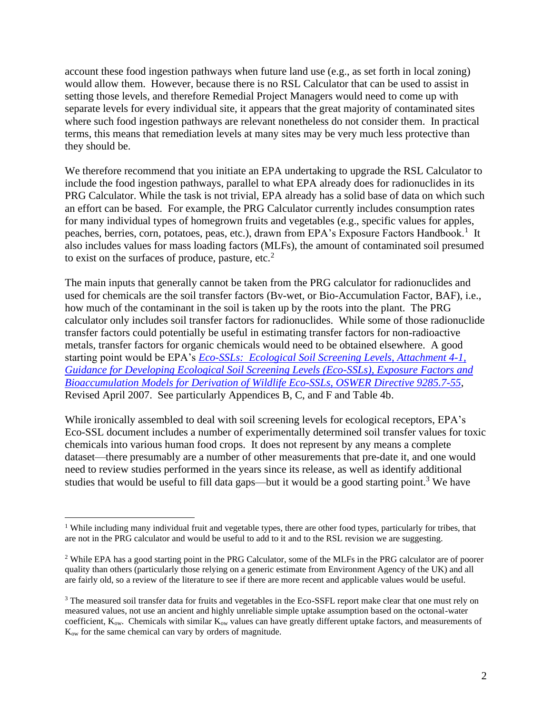account these food ingestion pathways when future land use (e.g., as set forth in local zoning) would allow them. However, because there is no RSL Calculator that can be used to assist in setting those levels, and therefore Remedial Project Managers would need to come up with separate levels for every individual site, it appears that the great majority of contaminated sites where such food ingestion pathways are relevant nonetheless do not consider them. In practical terms, this means that remediation levels at many sites may be very much less protective than they should be.

We therefore recommend that you initiate an EPA undertaking to upgrade the RSL Calculator to include the food ingestion pathways, parallel to what EPA already does for radionuclides in its PRG Calculator. While the task is not trivial, EPA already has a solid base of data on which such an effort can be based. For example, the PRG Calculator currently includes consumption rates for many individual types of homegrown fruits and vegetables (e.g., specific values for apples, peaches, berries, corn, potatoes, peas, etc.), drawn from EPA's Exposure Factors Handbook.<sup>1</sup> It also includes values for mass loading factors (MLFs), the amount of contaminated soil presumed to exist on the surfaces of produce, pasture, etc.<sup>2</sup>

The main inputs that generally cannot be taken from the PRG calculator for radionuclides and used for chemicals are the soil transfer factors (Bv-wet, or Bio-Accumulation Factor, BAF), i.e., how much of the contaminant in the soil is taken up by the roots into the plant. The PRG calculator only includes soil transfer factors for radionuclides. While some of those radionuclide transfer factors could potentially be useful in estimating transfer factors for non-radioactive metals, transfer factors for organic chemicals would need to be obtained elsewhere. A good starting point would be EPA's *[Eco-SSLs: Ecological Soil Screening Levels, Attachment 4-1,](https://www.epa.gov/sites/default/files/2015-09/documents/ecossl_attachment_4-1.pdf)  [Guidance for Developing Ecological Soil Screening Levels \(Eco-SSLs\), Exposure Factors and](https://www.epa.gov/sites/default/files/2015-09/documents/ecossl_attachment_4-1.pdf)  [Bioaccumulation Models for Derivation of Wildlife Eco-SSLs,](https://www.epa.gov/sites/default/files/2015-09/documents/ecossl_attachment_4-1.pdf) OSWER Directive 9285.7-55*, Revised April 2007. See particularly Appendices B, C, and F and Table 4b.

While ironically assembled to deal with soil screening levels for ecological receptors, EPA's Eco-SSL document includes a number of experimentally determined soil transfer values for toxic chemicals into various human food crops. It does not represent by any means a complete dataset—there presumably are a number of other measurements that pre-date it, and one would need to review studies performed in the years since its release, as well as identify additional studies that would be useful to fill data gaps—but it would be a good starting point.<sup>3</sup> We have

<sup>&</sup>lt;sup>1</sup> While including many individual fruit and vegetable types, there are other food types, particularly for tribes, that are not in the PRG calculator and would be useful to add to it and to the RSL revision we are suggesting.

<sup>&</sup>lt;sup>2</sup> While EPA has a good starting point in the PRG Calculator, some of the MLFs in the PRG calculator are of poorer quality than others (particularly those relying on a generic estimate from Environment Agency of the UK) and all are fairly old, so a review of the literature to see if there are more recent and applicable values would be useful.

<sup>&</sup>lt;sup>3</sup> The measured soil transfer data for fruits and vegetables in the Eco-SSFL report make clear that one must rely on measured values, not use an ancient and highly unreliable simple uptake assumption based on the octonal-water coefficient,  $K_{ow}$ . Chemicals with similar  $K_{ow}$  values can have greatly different uptake factors, and measurements of Kow for the same chemical can vary by orders of magnitude.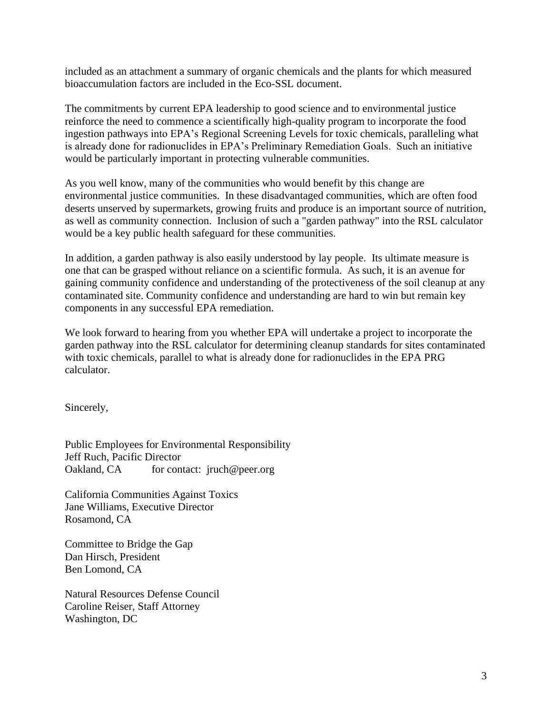included as an attachment a summary of organic chemicals and the plants for which measured bioaccumulation factors are included in the Eco-SSL document.

The commitments by current EPA leadership to good science and to environmental justice reinforce the need to commence a scientifically high-quality program to incorporate the food ingestion pathways into EPA's Regional Screening Levels for toxic chemicals, paralleling what is already done for radionuclides in EPA's Preliminary Remediation Goals. Such an initiative would be particularly important in protecting vulnerable communities.

As you well know, many of the communities who would benefit by this change are environmental justice communities. In these disadvantaged communities, which are often food deserts unserved by supermarkets, growing fruits and produce is an important source of nutrition, as well as community connection. Inclusion of such a "garden pathway" into the RSL calculator would be a key public health safeguard for these communities.

In addition, a garden pathway is also easily understood by lay people. Its ultimate measure is one that can be grasped without reliance on a scientific formula. As such, it is an avenue for gaining community confidence and understanding of the protectiveness of the soil cleanup at any contaminated site. Community confidence and understanding are hard to win but remain key components in any successful EPA remediation.

We look forward to hearing from you whether EPA will undertake a project to incorporate the garden pathway into the RSL calculator for determining cleanup standards for sites contaminated with toxic chemicals, parallel to what is already done for radionuclides in the EPA PRG calculator.

Sincerely,

Public Employees for Environmental Responsibility Jeff Ruch, Pacific Director Oakland, CA for contact: jruch@peer.org

California Communities Against Toxics Jane Williams, Executive Director Rosamond, CA

Committee to Bridge the Gap Dan Hirsch, President Ben Lomond, CA

Natural Resources Defense Council Caroline Reiser, Staff Attorney Washington, DC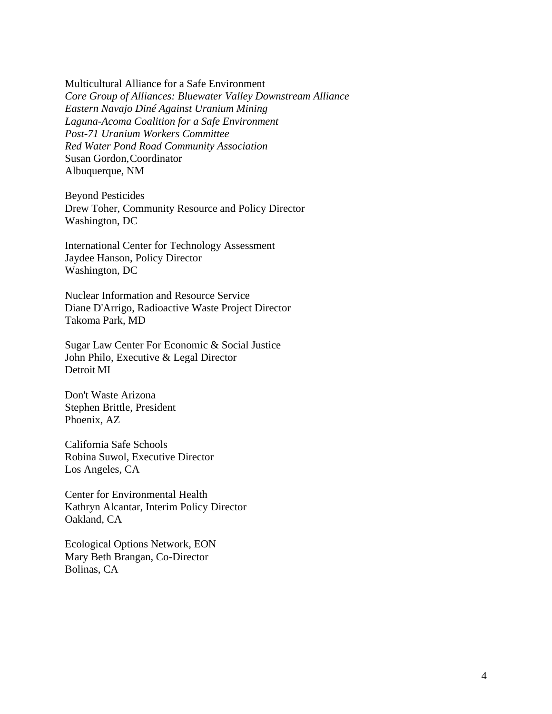Multicultural Alliance for a Safe Environment *Core Group of Alliances: Bluewater Valley Downstream Alliance Eastern Navajo Diné Against Uranium Mining Laguna-Acoma Coalition for a Safe Environment Post-71 Uranium Workers Committee Red Water Pond Road Community Association* Susan Gordon,Coordinator Albuquerque, NM

Beyond Pesticides Drew Toher, Community Resource and Policy Director Washington, DC

International Center for Technology Assessment Jaydee Hanson, Policy Director Washington, DC

Nuclear Information and Resource Service Diane D'Arrigo, Radioactive Waste Project Director Takoma Park, MD

Sugar Law Center For Economic & Social Justice John Philo, Executive & Legal Director Detroit MI

Don't Waste Arizona Stephen Brittle, President Phoenix, AZ

California Safe Schools Robina Suwol, Executive Director Los Angeles, CA

Center for Environmental Health Kathryn Alcantar, Interim Policy Director Oakland, CA

Ecological Options Network, EON Mary Beth Brangan, Co-Director Bolinas, CA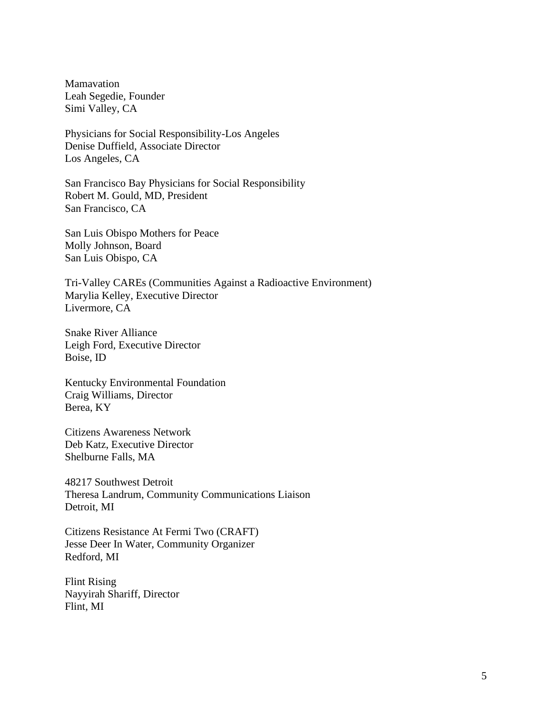Mamavation Leah Segedie, Founder Simi Valley, CA

Physicians for Social Responsibility-Los Angeles Denise Duffield, Associate Director Los Angeles, CA

San Francisco Bay Physicians for Social Responsibility Robert M. Gould, MD, President San Francisco, CA

San Luis Obispo Mothers for Peace Molly Johnson, Board San Luis Obispo, CA

Tri-Valley CAREs (Communities Against a Radioactive Environment) Marylia Kelley, Executive Director Livermore, CA

Snake River Alliance Leigh Ford, Executive Director Boise, ID

Kentucky Environmental Foundation Craig Williams, Director Berea, KY

Citizens Awareness Network Deb Katz, Executive Director Shelburne Falls, MA

48217 Southwest Detroit Theresa Landrum, Community Communications Liaison Detroit, MI

Citizens Resistance At Fermi Two (CRAFT) Jesse Deer In Water, Community Organizer Redford, MI

Flint Rising Nayyirah Shariff, Director Flint, MI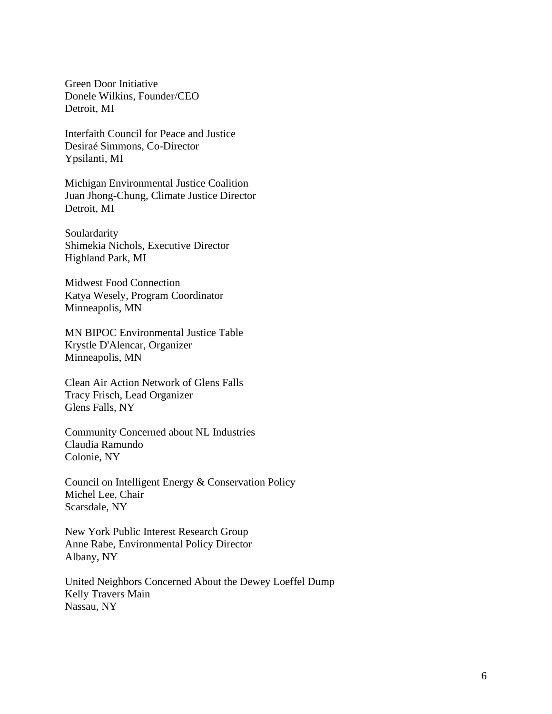Green Door Initiative Donele Wilkins, Founder/CEO Detroit, MI

Interfaith Council for Peace and Justice Desiraé Simmons, Co-Director Ypsilanti, MI

Michigan Environmental Justice Coalition Juan Jhong-Chung, Climate Justice Director Detroit, MI

Soulardarity Shimekia Nichols, Executive Director Highland Park, MI

Midwest Food Connection Katya Wesely, Program Coordinator Minneapolis, MN

MN BIPOC Environmental Justice Table Krystle D'Alencar, Organizer Minneapolis, MN

Clean Air Action Network of Glens Falls Tracy Frisch, Lead Organizer Glens Falls, NY

Community Concerned about NL Industries Claudia Ramundo Colonie, NY

Council on Intelligent Energy & Conservation Policy Michel Lee, Chair Scarsdale, NY

New York Public Interest Research Group Anne Rabe, Environmental Policy Director Albany, NY

United Neighbors Concerned About the Dewey Loeffel Dump Kelly Travers Main Nassau, NY